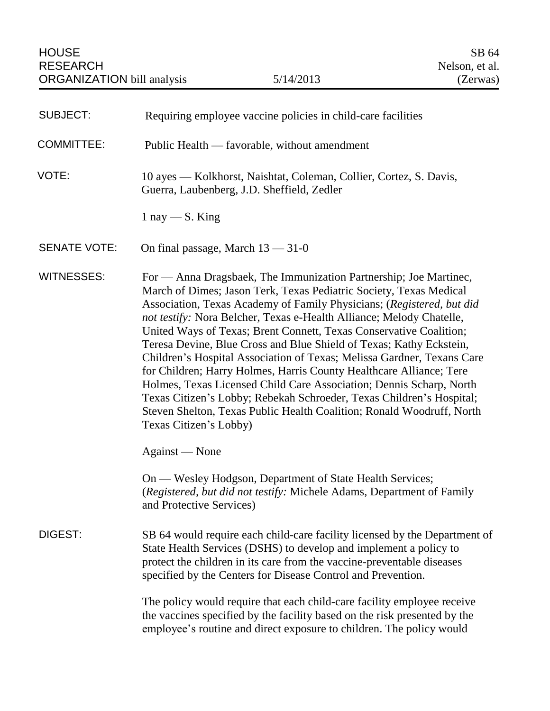| <b>SUBJECT:</b>     | Requiring employee vaccine policies in child-care facilities                                                                                                                                                                                                                                                                                                                                                                                                                                                                                                                                                                                                                                                                                                                                                                             |
|---------------------|------------------------------------------------------------------------------------------------------------------------------------------------------------------------------------------------------------------------------------------------------------------------------------------------------------------------------------------------------------------------------------------------------------------------------------------------------------------------------------------------------------------------------------------------------------------------------------------------------------------------------------------------------------------------------------------------------------------------------------------------------------------------------------------------------------------------------------------|
| <b>COMMITTEE:</b>   | Public Health — favorable, without amendment                                                                                                                                                                                                                                                                                                                                                                                                                                                                                                                                                                                                                                                                                                                                                                                             |
| VOTE:               | 10 ayes — Kolkhorst, Naishtat, Coleman, Collier, Cortez, S. Davis,<br>Guerra, Laubenberg, J.D. Sheffield, Zedler                                                                                                                                                                                                                                                                                                                                                                                                                                                                                                                                                                                                                                                                                                                         |
|                     | $1 \text{ nay} - S$ . King                                                                                                                                                                                                                                                                                                                                                                                                                                                                                                                                                                                                                                                                                                                                                                                                               |
| <b>SENATE VOTE:</b> | On final passage, March $13 - 31 - 0$                                                                                                                                                                                                                                                                                                                                                                                                                                                                                                                                                                                                                                                                                                                                                                                                    |
| <b>WITNESSES:</b>   | For — Anna Dragsbaek, The Immunization Partnership; Joe Martinec,<br>March of Dimes; Jason Terk, Texas Pediatric Society, Texas Medical<br>Association, Texas Academy of Family Physicians; (Registered, but did<br>not testify: Nora Belcher, Texas e-Health Alliance; Melody Chatelle,<br>United Ways of Texas; Brent Connett, Texas Conservative Coalition;<br>Teresa Devine, Blue Cross and Blue Shield of Texas; Kathy Eckstein,<br>Children's Hospital Association of Texas; Melissa Gardner, Texans Care<br>for Children; Harry Holmes, Harris County Healthcare Alliance; Tere<br>Holmes, Texas Licensed Child Care Association; Dennis Scharp, North<br>Texas Citizen's Lobby; Rebekah Schroeder, Texas Children's Hospital;<br>Steven Shelton, Texas Public Health Coalition; Ronald Woodruff, North<br>Texas Citizen's Lobby) |
|                     | Against — None                                                                                                                                                                                                                                                                                                                                                                                                                                                                                                                                                                                                                                                                                                                                                                                                                           |
|                     | On — Wesley Hodgson, Department of State Health Services;<br>(Registered, but did not testify: Michele Adams, Department of Family<br>and Protective Services)                                                                                                                                                                                                                                                                                                                                                                                                                                                                                                                                                                                                                                                                           |
| DIGEST:             | SB 64 would require each child-care facility licensed by the Department of<br>State Health Services (DSHS) to develop and implement a policy to<br>protect the children in its care from the vaccine-preventable diseases<br>specified by the Centers for Disease Control and Prevention.                                                                                                                                                                                                                                                                                                                                                                                                                                                                                                                                                |
|                     | The policy would require that each child-care facility employee receive<br>the vaccines specified by the facility based on the risk presented by the<br>employee's routine and direct exposure to children. The policy would                                                                                                                                                                                                                                                                                                                                                                                                                                                                                                                                                                                                             |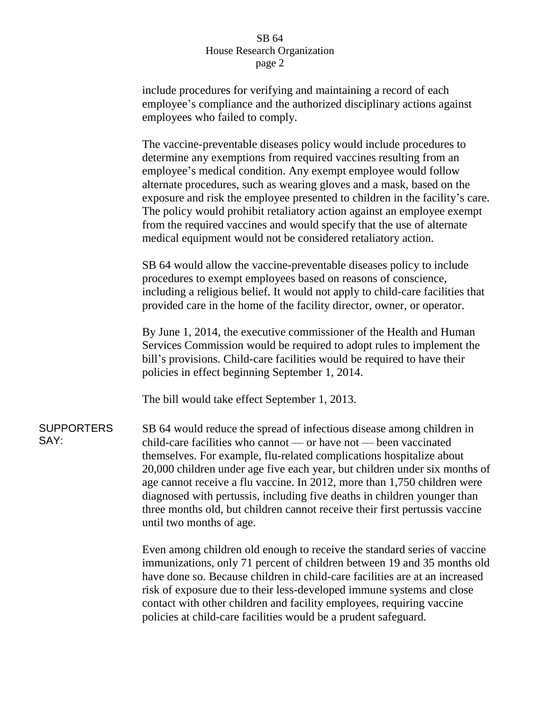### SB 64 House Research Organization page 2

include procedures for verifying and maintaining a record of each employee's compliance and the authorized disciplinary actions against employees who failed to comply.

The vaccine-preventable diseases policy would include procedures to determine any exemptions from required vaccines resulting from an employee's medical condition. Any exempt employee would follow alternate procedures, such as wearing gloves and a mask, based on the exposure and risk the employee presented to children in the facility's care. The policy would prohibit retaliatory action against an employee exempt from the required vaccines and would specify that the use of alternate medical equipment would not be considered retaliatory action.

SB 64 would allow the vaccine-preventable diseases policy to include procedures to exempt employees based on reasons of conscience, including a religious belief. It would not apply to child-care facilities that provided care in the home of the facility director, owner, or operator.

By June 1, 2014, the executive commissioner of the Health and Human Services Commission would be required to adopt rules to implement the bill's provisions. Child-care facilities would be required to have their policies in effect beginning September 1, 2014.

The bill would take effect September 1, 2013.

**SUPPORTERS** SAY: SB 64 would reduce the spread of infectious disease among children in child-care facilities who cannot — or have not — been vaccinated themselves. For example, flu-related complications hospitalize about 20,000 children under age five each year, but children under six months of age cannot receive a flu vaccine. In 2012, more than 1,750 children were diagnosed with pertussis, including five deaths in children younger than three months old, but children cannot receive their first pertussis vaccine until two months of age.

> Even among children old enough to receive the standard series of vaccine immunizations, only 71 percent of children between 19 and 35 months old have done so. Because children in child-care facilities are at an increased risk of exposure due to their less-developed immune systems and close contact with other children and facility employees, requiring vaccine policies at child-care facilities would be a prudent safeguard.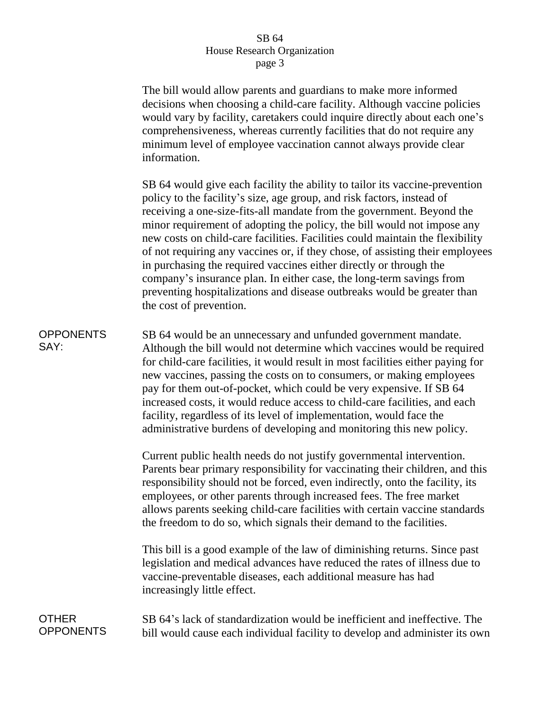## SB 64 House Research Organization page 3

The bill would allow parents and guardians to make more informed decisions when choosing a child-care facility. Although vaccine policies would vary by facility, caretakers could inquire directly about each one's comprehensiveness, whereas currently facilities that do not require any minimum level of employee vaccination cannot always provide clear information.

SB 64 would give each facility the ability to tailor its vaccine-prevention policy to the facility's size, age group, and risk factors, instead of receiving a one-size-fits-all mandate from the government. Beyond the minor requirement of adopting the policy, the bill would not impose any new costs on child-care facilities. Facilities could maintain the flexibility of not requiring any vaccines or, if they chose, of assisting their employees in purchasing the required vaccines either directly or through the company's insurance plan. In either case, the long-term savings from preventing hospitalizations and disease outbreaks would be greater than the cost of prevention.

# **OPPONENTS** SAY:

SB 64 would be an unnecessary and unfunded government mandate. Although the bill would not determine which vaccines would be required for child-care facilities, it would result in most facilities either paying for new vaccines, passing the costs on to consumers, or making employees pay for them out-of-pocket, which could be very expensive. If SB 64 increased costs, it would reduce access to child-care facilities, and each facility, regardless of its level of implementation, would face the administrative burdens of developing and monitoring this new policy.

Current public health needs do not justify governmental intervention. Parents bear primary responsibility for vaccinating their children, and this responsibility should not be forced, even indirectly, onto the facility, its employees, or other parents through increased fees. The free market allows parents seeking child-care facilities with certain vaccine standards the freedom to do so, which signals their demand to the facilities.

This bill is a good example of the law of diminishing returns. Since past legislation and medical advances have reduced the rates of illness due to vaccine-preventable diseases, each additional measure has had increasingly little effect.

#### OTHER **OPPONENTS** SB 64's lack of standardization would be inefficient and ineffective. The bill would cause each individual facility to develop and administer its own